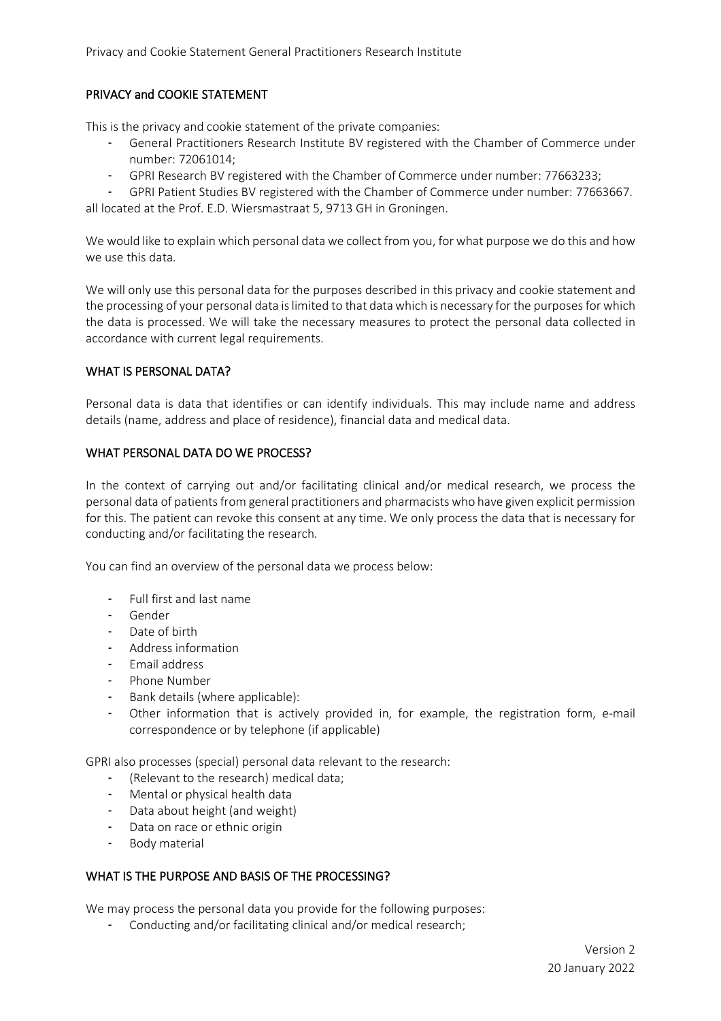# PRIVACY and COOKIE STATEMENT

This is the privacy and cookie statement of the private companies:

- General Practitioners Research Institute BV registered with the Chamber of Commerce under number: 72061014;
- GPRI Research BV registered with the Chamber of Commerce under number: 77663233;
- GPRI Patient Studies BV registered with the Chamber of Commerce under number: 77663667.

all located at the Prof. E.D. Wiersmastraat 5, 9713 GH in Groningen.

We would like to explain which personal data we collect from you, for what purpose we do this and how we use this data.

We will only use this personal data for the purposes described in this privacy and cookie statement and the processing of your personal data is limited to that data which is necessary for the purposes for which the data is processed. We will take the necessary measures to protect the personal data collected in accordance with current legal requirements.

#### WHAT IS PERSONAL DATA?

Personal data is data that identifies or can identify individuals. This may include name and address details (name, address and place of residence), financial data and medical data.

#### WHAT PERSONAL DATA DO WE PROCESS?

In the context of carrying out and/or facilitating clinical and/or medical research, we process the personal data of patients from general practitioners and pharmacists who have given explicit permission for this. The patient can revoke this consent at any time. We only process the data that is necessary for conducting and/or facilitating the research.

You can find an overview of the personal data we process below:

- Full first and last name
- Gender
- Date of birth
- Address information
- Email address
- Phone Number
- Bank details (where applicable):
- Other information that is actively provided in, for example, the registration form, e-mail correspondence or by telephone (if applicable)

GPRI also processes (special) personal data relevant to the research:

- (Relevant to the research) medical data;
- Mental or physical health data
- Data about height (and weight)
- Data on race or ethnic origin
- Body material

# WHAT IS THE PURPOSE AND BASIS OF THE PROCESSING?

We may process the personal data you provide for the following purposes:

- Conducting and/or facilitating clinical and/or medical research;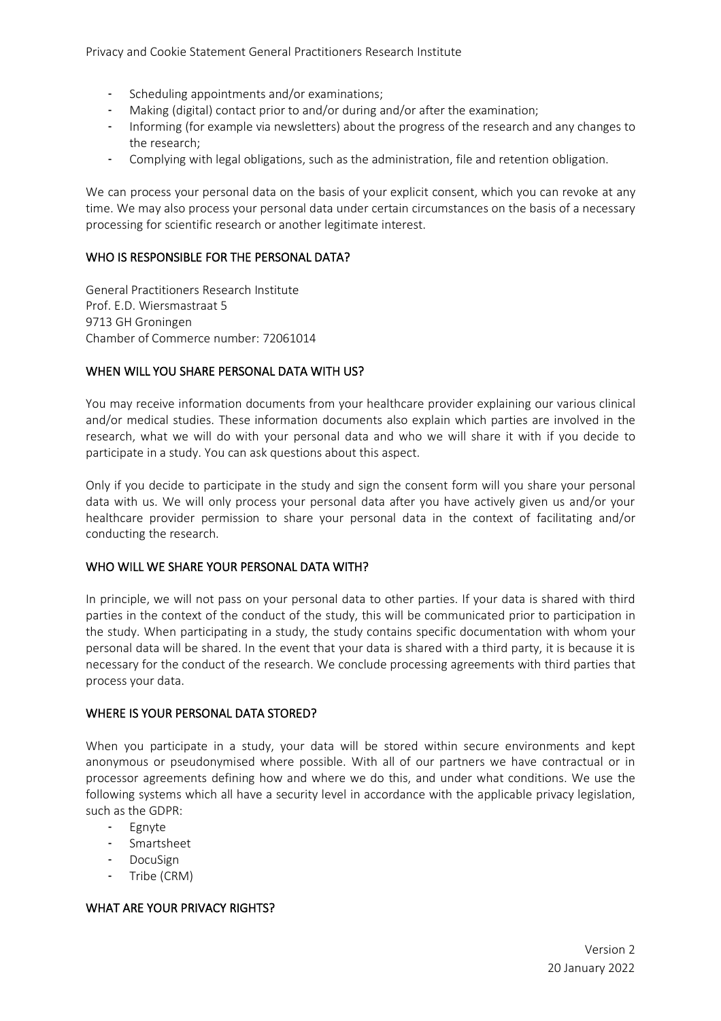Privacy and Cookie Statement General Practitioners Research Institute

- Scheduling appointments and/or examinations;
- Making (digital) contact prior to and/or during and/or after the examination;
- Informing (for example via newsletters) about the progress of the research and any changes to the research;
- Complying with legal obligations, such as the administration, file and retention obligation.

We can process your personal data on the basis of your explicit consent, which you can revoke at any time. We may also process your personal data under certain circumstances on the basis of a necessary processing for scientific research or another legitimate interest.

## WHO IS RESPONSIBLE FOR THE PERSONAL DATA?

General Practitioners Research Institute Prof. E.D. Wiersmastraat 5 9713 GH Groningen Chamber of Commerce number: 72061014

# WHEN WILL YOU SHARE PERSONAL DATA WITH US?

You may receive information documents from your healthcare provider explaining our various clinical and/or medical studies. These information documents also explain which parties are involved in the research, what we will do with your personal data and who we will share it with if you decide to participate in a study. You can ask questions about this aspect.

Only if you decide to participate in the study and sign the consent form will you share your personal data with us. We will only process your personal data after you have actively given us and/or your healthcare provider permission to share your personal data in the context of facilitating and/or conducting the research.

### WHO WILL WE SHARE YOUR PERSONAL DATA WITH?

In principle, we will not pass on your personal data to other parties. If your data is shared with third parties in the context of the conduct of the study, this will be communicated prior to participation in the study. When participating in a study, the study contains specific documentation with whom your personal data will be shared. In the event that your data is shared with a third party, it is because it is necessary for the conduct of the research. We conclude processing agreements with third parties that process your data.

#### WHERE IS YOUR PERSONAL DATA STORED?

When you participate in a study, your data will be stored within secure environments and kept anonymous or pseudonymised where possible. With all of our partners we have contractual or in processor agreements defining how and where we do this, and under what conditions. We use the following systems which all have a security level in accordance with the applicable privacy legislation, such as the GDPR:

- Egnyte
- Smartsheet
- DocuSign
- Tribe (CRM)

### WHAT ARE YOUR PRIVACY RIGHTS?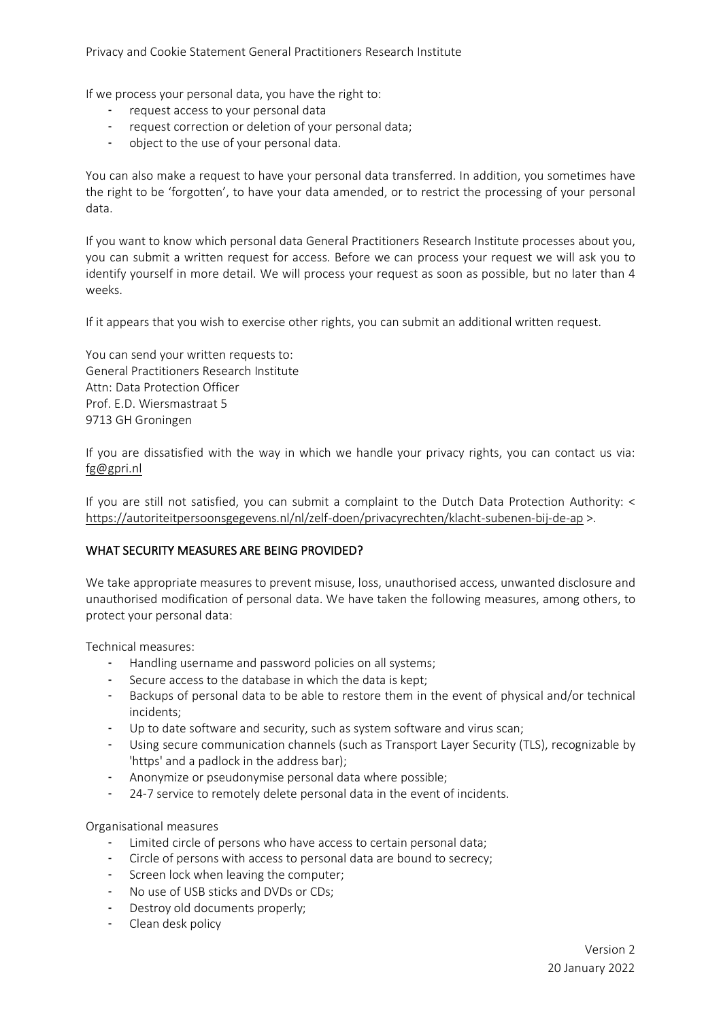If we process your personal data, you have the right to:

- request access to your personal data
- request correction or deletion of your personal data;
- object to the use of your personal data.

You can also make a request to have your personal data transferred. In addition, you sometimes have the right to be 'forgotten', to have your data amended, or to restrict the processing of your personal data.

If you want to know which personal data General Practitioners Research Institute processes about you, you can submit a written request for access. Before we can process your request we will ask you to identify yourself in more detail. We will process your request as soon as possible, but no later than 4 weeks.

If it appears that you wish to exercise other rights, you can submit an additional written request.

You can send your written requests to: General Practitioners Research Institute Attn: Data Protection Officer Prof. E.D. Wiersmastraat 5 9713 GH Groningen

If you are dissatisfied with the way in which we handle your privacy rights, you can contact us via: [fg@gpri.nl](mailto:fg@gpri.nl) 

If you are still not satisfied, you can submit a complaint to the Dutch Data Protection Authority: < <https://autoriteitpersoonsgegevens.nl/nl/zelf-doen/privacyrechten/klacht-subenen-bij-de-ap> >.

# WHAT SECURITY MEASURES ARE BEING PROVIDED?

We take appropriate measures to prevent misuse, loss, unauthorised access, unwanted disclosure and unauthorised modification of personal data. We have taken the following measures, among others, to protect your personal data:

Technical measures:

- Handling username and password policies on all systems;
- Secure access to the database in which the data is kept;
- Backups of personal data to be able to restore them in the event of physical and/or technical incidents;
- Up to date software and security, such as system software and virus scan;
- Using secure communication channels (such as Transport Layer Security (TLS), recognizable by 'https' and a padlock in the address bar);
- Anonymize or pseudonymise personal data where possible;
- 24-7 service to remotely delete personal data in the event of incidents.

Organisational measures

- Limited circle of persons who have access to certain personal data;
- Circle of persons with access to personal data are bound to secrecy;
- Screen lock when leaving the computer;
- No use of USB sticks and DVDs or CDs;
- Destroy old documents properly;
- Clean desk policy